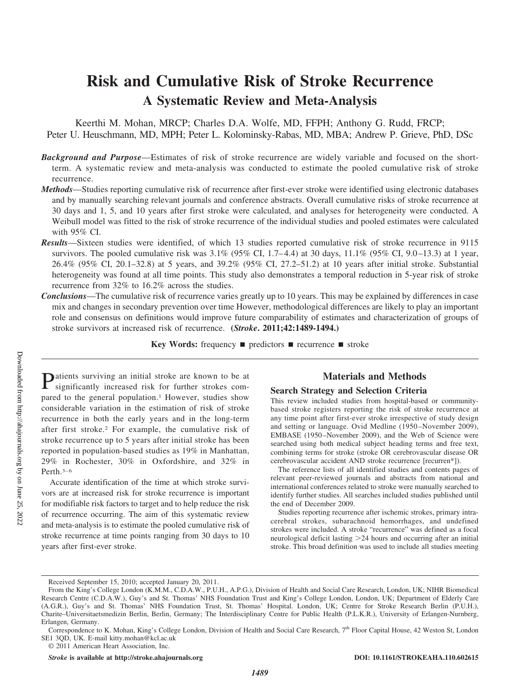# **Risk and Cumulative Risk of Stroke Recurrence A Systematic Review and Meta-Analysis**

Keerthi M. Mohan, MRCP; Charles D.A. Wolfe, MD, FFPH; Anthony G. Rudd, FRCP; Peter U. Heuschmann, MD, MPH; Peter L. Kolominsky-Rabas, MD, MBA; Andrew P. Grieve, PhD, DSc

- *Background and Purpose*—Estimates of risk of stroke recurrence are widely variable and focused on the shortterm. A systematic review and meta-analysis was conducted to estimate the pooled cumulative risk of stroke recurrence.
- *Methods*—Studies reporting cumulative risk of recurrence after first-ever stroke were identified using electronic databases and by manually searching relevant journals and conference abstracts. Overall cumulative risks of stroke recurrence at 30 days and 1, 5, and 10 years after first stroke were calculated, and analyses for heterogeneity were conducted. A Weibull model was fitted to the risk of stroke recurrence of the individual studies and pooled estimates were calculated with 95% CI.
- *Results*—Sixteen studies were identified, of which 13 studies reported cumulative risk of stroke recurrence in 9115 survivors. The pooled cumulative risk was  $3.1\%$  (95% CI, 1.7–4.4) at 30 days,  $11.1\%$  (95% CI, 9.0–13.3) at 1 year, 26.4% (95% CI, 20.1–32.8) at 5 years, and 39.2% (95% CI, 27.2–51.2) at 10 years after initial stroke. Substantial heterogeneity was found at all time points. This study also demonstrates a temporal reduction in 5-year risk of stroke recurrence from 32% to 16.2% across the studies.
- *Conclusions*—The cumulative risk of recurrence varies greatly up to 10 years. This may be explained by differences in case mix and changes in secondary prevention over time However, methodological differences are likely to play an important role and consensus on definitions would improve future comparability of estimates and characterization of groups of stroke survivors at increased risk of recurrence. **(***Stroke***. 2011;42:1489-1494.)**

**Key Words:** frequency **permitted recurrence stroke** 

**P**atients surviving an initial stroke are known to be at significantly significantly increased risk for further strokes compared to the general population.<sup>1</sup> However, studies show considerable variation in the estimation of risk of stroke recurrence in both the early years and in the long-term after first stroke.2 For example, the cumulative risk of stroke recurrence up to 5 years after initial stroke has been reported in population-based studies as 19% in Manhattan, 29% in Rochester, 30% in Oxfordshire, and 32% in Perth. $3-6$ 

Accurate identification of the time at which stroke survivors are at increased risk for stroke recurrence is important for modifiable risk factors to target and to help reduce the risk of recurrence occurring. The aim of this systematic review and meta-analysis is to estimate the pooled cumulative risk of stroke recurrence at time points ranging from 30 days to 10 years after first-ever stroke.

# **Materials and Methods**

#### **Search Strategy and Selection Criteria**

This review included studies from hospital-based or communitybased stroke registers reporting the risk of stroke recurrence at any time point after first-ever stroke irrespective of study design and setting or language. Ovid Medline (1950 –November 2009), EMBASE (1950–November 2009), and the Web of Science were searched using both medical subject heading terms and free text, combining terms for stroke (stroke OR cerebrovascular disease OR cerebrovascular accident AND stroke recurrence [recurren\*]).

The reference lists of all identified studies and contents pages of relevant peer-reviewed journals and abstracts from national and international conferences related to stroke were manually searched to identify further studies. All searches included studies published until the end of December 2009.

Studies reporting recurrence after ischemic strokes, primary intracerebral strokes, subarachnoid hemorrhages, and undefined strokes were included. A stroke "recurrence" was defined as a focal neurological deficit lasting 24 hours and occurring after an initial stroke. This broad definition was used to include all studies meeting

Received September 15, 2010; accepted January 20, 2011.

From the King's College London (K.M.M., C.D.A.W., P.U.H., A.P.G.), Division of Health and Social Care Research, London, UK; NIHR Biomedical Research Centre (C.D.A.W.), Guy's and St. Thomas' NHS Foundation Trust and King's College London, London, UK; Department of Elderly Care (A.G.R.), Guy's and St. Thomas' NHS Foundation Trust, St. Thomas' Hospital. London, UK; Centre for Stroke Research Berlin (P.U.H.), Charite–Universitaetsmedizin Berlin, Berlin, Germany; The Interdisciplinary Centre for Public Health (P.L.K.R.), University of Erlangen-Nurnberg, Erlangen, Germany.

Correspondence to K. Mohan, King's College London, Division of Health and Social Care Research, 7<sup>th</sup> Floor Capital House, 42 Weston St, London SE1 3QD, UK. E-mail kitty.mohan@kcl.ac.uk

<sup>© 2011</sup> American Heart Association, Inc.

*Stroke* **is available at http://stroke.ahajournals.org DOI: 10.1161/STROKEAHA.110.602615**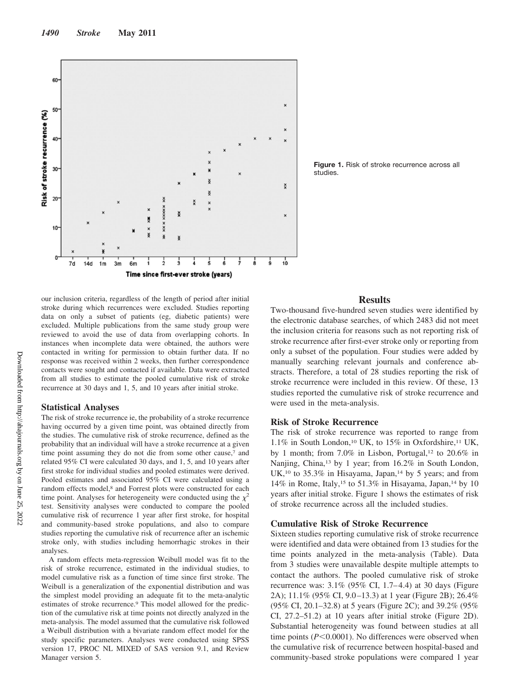

**Figure 1.** Risk of stroke recurrence across all studies.

our inclusion criteria, regardless of the length of period after initial stroke during which recurrences were excluded. Studies reporting data on only a subset of patients (eg, diabetic patients) were excluded. Multiple publications from the same study group were reviewed to avoid the use of data from overlapping cohorts. In instances when incomplete data were obtained, the authors were contacted in writing for permission to obtain further data. If no response was received within 2 weeks, then further correspondence contacts were sought and contacted if available. Data were extracted from all studies to estimate the pooled cumulative risk of stroke recurrence at 30 days and 1, 5, and 10 years after initial stroke.

#### **Statistical Analyses**

The risk of stroke recurrence ie, the probability of a stroke recurrence having occurred by a given time point, was obtained directly from the studies. The cumulative risk of stroke recurrence, defined as the probability that an individual will have a stroke recurrence at a given time point assuming they do not die from some other cause,7 and related 95% CI were calculated 30 days, and 1, 5, and 10 years after first stroke for individual studies and pooled estimates were derived. Pooled estimates and associated 95% CI were calculated using a random effects model,<sup>8</sup> and Forrest plots were constructed for each time point. Analyses for heterogeneity were conducted using the  $\chi^2$ test. Sensitivity analyses were conducted to compare the pooled cumulative risk of recurrence 1 year after first stroke, for hospital and community-based stroke populations, and also to compare studies reporting the cumulative risk of recurrence after an ischemic stroke only, with studies including hemorrhagic strokes in their analyses.

A random effects meta-regression Weibull model was fit to the risk of stroke recurrence, estimated in the individual studies, to model cumulative risk as a function of time since first stroke. The Weibull is a generalization of the exponential distribution and was the simplest model providing an adequate fit to the meta-analytic estimates of stroke recurrence.<sup>9</sup> This model allowed for the prediction of the cumulative risk at time points not directly analyzed in the meta-analysis. The model assumed that the cumulative risk followed a Weibull distribution with a bivariate random effect model for the study specific parameters. Analyses were conducted using SPSS version 17, PROC NL MIXED of SAS version 9.1, and Review Manager version 5.

# **Results**

Two-thousand five-hundred seven studies were identified by the electronic database searches, of which 2483 did not meet the inclusion criteria for reasons such as not reporting risk of stroke recurrence after first-ever stroke only or reporting from only a subset of the population. Four studies were added by manually searching relevant journals and conference abstracts. Therefore, a total of 28 studies reporting the risk of stroke recurrence were included in this review. Of these, 13 studies reported the cumulative risk of stroke recurrence and were used in the meta-analysis.

# **Risk of Stroke Recurrence**

The risk of stroke recurrence was reported to range from 1.1% in South London,<sup>10</sup> UK, to 15% in Oxfordshire,<sup>11</sup> UK, by 1 month; from 7.0% in Lisbon, Portugal,<sup>12</sup> to 20.6% in Nanjing, China,<sup>13</sup> by 1 year; from 16.2% in South London, UK,<sup>10</sup> to 35.3% in Hisayama, Japan,<sup>14</sup> by 5 years; and from 14% in Rome, Italy,<sup>15</sup> to 51.3% in Hisayama, Japan,<sup>14</sup> by 10 years after initial stroke. Figure 1 shows the estimates of risk of stroke recurrence across all the included studies.

# **Cumulative Risk of Stroke Recurrence**

Sixteen studies reporting cumulative risk of stroke recurrence were identified and data were obtained from 13 studies for the time points analyzed in the meta-analysis (Table). Data from 3 studies were unavailable despite multiple attempts to contact the authors. The pooled cumulative risk of stroke recurrence was: 3.1% (95% CI, 1.7–4.4) at 30 days (Figure 2A); 11.1% (95% CI, 9.0 –13.3) at 1 year (Figure 2B); 26.4% (95% CI, 20.1–32.8) at 5 years (Figure 2C); and 39.2% (95% CI, 27.2–51.2) at 10 years after initial stroke (Figure 2D). Substantial heterogeneity was found between studies at all time points ( $P \le 0.0001$ ). No differences were observed when the cumulative risk of recurrence between hospital-based and community-based stroke populations were compared 1 year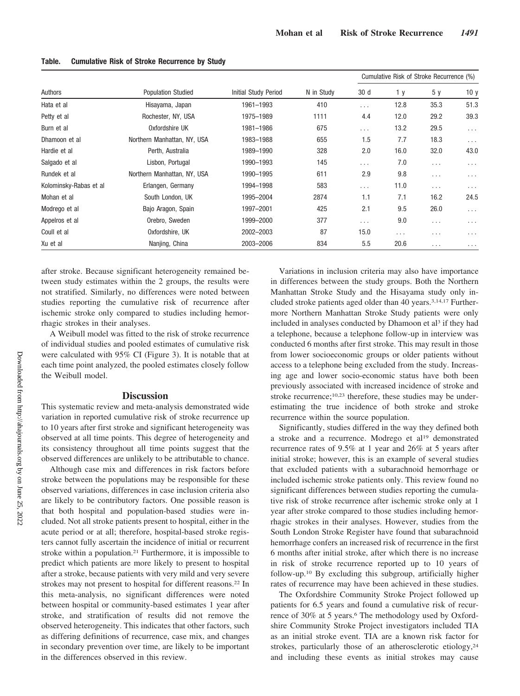| Authors                | <b>Population Studied</b>   | <b>Initial Study Period</b> | N in Study | Cumulative Risk of Stroke Recurrence (%) |          |          |                 |
|------------------------|-----------------------------|-----------------------------|------------|------------------------------------------|----------|----------|-----------------|
|                        |                             |                             |            | 30 d                                     | 1 y      | 5 y      | 10 <sub>y</sub> |
| Hata et al             | Hisayama, Japan             | 1961-1993                   | 410        | $\cdots$                                 | 12.8     | 35.3     | 51.3            |
| Petty et al            | Rochester, NY, USA          | 1975-1989                   | 1111       | 4.4                                      | 12.0     | 29.2     | 39.3            |
| Burn et al             | Oxfordshire UK              | 1981-1986                   | 675        | $\cdots$                                 | 13.2     | 29.5     | $\ldots$        |
| Dhamoon et al          | Northern Manhattan, NY, USA | 1983-1988                   | 655        | 1.5                                      | 7.7      | 18.3     | $\ldots$        |
| Hardie et al           | Perth, Australia            | 1989-1990                   | 328        | 2.0                                      | 16.0     | 32.0     | 43.0            |
| Salgado et al          | Lisbon, Portugal            | 1990-1993                   | 145        | $\cdots$                                 | 7.0      | $\cdots$ | $\cdots$        |
| Rundek et al           | Northern Manhattan, NY, USA | 1990-1995                   | 611        | 2.9                                      | 9.8      | $\cdots$ | $\cdots$        |
| Kolominsky-Rabas et al | Erlangen, Germany           | 1994-1998                   | 583        | $\cdots$                                 | 11.0     | $\cdots$ | $\cdots$        |
| Mohan et al            | South London, UK            | 1995-2004                   | 2874       | 1.1                                      | 7.1      | 16.2     | 24.5            |
| Modrego et al          | Bajo Aragon, Spain          | 1997-2001                   | 425        | 2.1                                      | 9.5      | 26.0     | $\ldots$        |
| Appelros et al         | Orebro, Sweden              | 1999-2000                   | 377        | $\cdots$                                 | 9.0      | $\cdots$ | $\cdots$        |
| Coull et al            | Oxfordshire, UK             | 2002-2003                   | 87         | 15.0                                     | $\cdots$ | $\cdots$ | $\cdots$        |
| Xu et al               | Nanjing, China              | 2003-2006                   | 834        | 5.5                                      | 20.6     | $\cdots$ | $\cdots$        |

#### **Table. Cumulative Risk of Stroke Recurrence by Study**

after stroke. Because significant heterogeneity remained between study estimates within the 2 groups, the results were not stratified. Similarly, no differences were noted between studies reporting the cumulative risk of recurrence after ischemic stroke only compared to studies including hemorrhagic strokes in their analyses.

A Weibull model was fitted to the risk of stroke recurrence of individual studies and pooled estimates of cumulative risk were calculated with 95% CI (Figure 3). It is notable that at each time point analyzed, the pooled estimates closely follow the Weibull model.

# **Discussion**

This systematic review and meta-analysis demonstrated wide variation in reported cumulative risk of stroke recurrence up to 10 years after first stroke and significant heterogeneity was observed at all time points. This degree of heterogeneity and its consistency throughout all time points suggest that the observed differences are unlikely to be attributable to chance.

Although case mix and differences in risk factors before stroke between the populations may be responsible for these observed variations, differences in case inclusion criteria also are likely to be contributory factors. One possible reason is that both hospital and population-based studies were included. Not all stroke patients present to hospital, either in the acute period or at all; therefore, hospital-based stroke registers cannot fully ascertain the incidence of initial or recurrent stroke within a population.<sup>21</sup> Furthermore, it is impossible to predict which patients are more likely to present to hospital after a stroke, because patients with very mild and very severe strokes may not present to hospital for different reasons.22 In this meta-analysis, no significant differences were noted between hospital or community-based estimates 1 year after stroke, and stratification of results did not remove the observed heterogeneity. This indicates that other factors, such as differing definitions of recurrence, case mix, and changes in secondary prevention over time, are likely to be important in the differences observed in this review.

Variations in inclusion criteria may also have importance in differences between the study groups. Both the Northern Manhattan Stroke Study and the Hisayama study only included stroke patients aged older than 40 years.3,14,17 Furthermore Northern Manhattan Stroke Study patients were only included in analyses conducted by Dhamoon et al<sup>3</sup> if they had a telephone, because a telephone follow-up in interview was conducted 6 months after first stroke. This may result in those from lower socioeconomic groups or older patients without access to a telephone being excluded from the study. Increasing age and lower socio-economic status have both been previously associated with increased incidence of stroke and stroke recurrence;<sup>10,23</sup> therefore, these studies may be underestimating the true incidence of both stroke and stroke recurrence within the source population.

Significantly, studies differed in the way they defined both a stroke and a recurrence. Modrego et al19 demonstrated recurrence rates of 9.5% at 1 year and 26% at 5 years after initial stroke; however, this is an example of several studies that excluded patients with a subarachnoid hemorrhage or included ischemic stroke patients only. This review found no significant differences between studies reporting the cumulative risk of stroke recurrence after ischemic stroke only at 1 year after stroke compared to those studies including hemorrhagic strokes in their analyses. However, studies from the South London Stroke Register have found that subarachnoid hemorrhage confers an increased risk of recurrence in the first 6 months after initial stroke, after which there is no increase in risk of stroke recurrence reported up to 10 years of follow-up.10 By excluding this subgroup, artificially higher rates of recurrence may have been achieved in these studies.

The Oxfordshire Community Stroke Project followed up patients for 6.5 years and found a cumulative risk of recurrence of 30% at 5 years.<sup>6</sup> The methodology used by Oxfordshire Community Stroke Project investigators included TIA as an initial stroke event. TIA are a known risk factor for strokes, particularly those of an atherosclerotic etiology,<sup>24</sup> and including these events as initial strokes may cause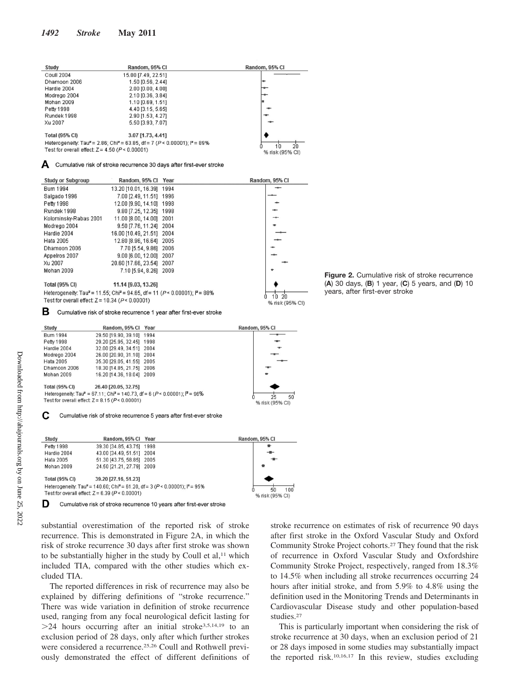| Study                                                                                              | Random, 95% CI      | Random, 95% CI |
|----------------------------------------------------------------------------------------------------|---------------------|----------------|
| Coull 2004                                                                                         | 15.00 [7.49, 22.51] |                |
| Dhamoon 2006                                                                                       | 1.50 [0.56, 2.44]   | l-m-           |
| Hardie 2004                                                                                        | 2.00 [0.00, 4.00]   |                |
| Modrego 2004                                                                                       | 2.10 [0.36, 3.84]   |                |
| <b>Mohan 2009</b>                                                                                  | 1.10 [0.69, 1.51]   |                |
| Petty 1998                                                                                         | 4.40 [3.15, 5.65]   |                |
| Rundek 1998                                                                                        | 2.90 [1.53, 4.27]   | $-1$           |
| Xu 2007                                                                                            | 5.50 [3.93, 7.07]   |                |
| <b>Total (95% CI)</b>                                                                              | 3.07 [1.73, 4.41]   |                |
| Heterogeneity: Tau <sup>2</sup> = 2.86; Chi <sup>2</sup> = 63.85, df = 7 (P < 0.00001); $P = 89\%$ | 10<br>20            |                |
| Test for overall effect: $Z = 4.50$ ( $P < 0.00001$ )                                              | % risk (95% CI)     |                |

| Δ                        |                           | Cumulative risk of stroke recurrence 30 days after first-ever stroke |                |
|--------------------------|---------------------------|----------------------------------------------------------------------|----------------|
| <b>Study or Subgroup</b> | Random, 95% Cl Year       |                                                                      | Random, 95% CI |
| <b>Burn 1994</b>         | 13.20 [10.01, 16.39] 1994 |                                                                      |                |
| Salgado 1996             | 7.00 [2.49, 11.51] 1996   |                                                                      |                |
| Petty 1998               | 12.00 (9.90, 14.10) 1998  |                                                                      |                |
| Rundek 1998              | 9.80 7.25, 12.35 1998     |                                                                      |                |
| Kolominsky-Rabas 2001    | 11.00 [8.00, 14.00] 2001  |                                                                      |                |
| Modrego 2004             | 9.50 [7.76, 11.24] 2004   |                                                                      |                |
| Hardie 2004              | 16.00 [10.49, 21.51] 2004 |                                                                      |                |
| Hata 2005                | 12.80 [8.96, 16.64] 2005  |                                                                      |                |
| Dhamoon 2006             | 7.70 [5.54, 9.86] 2006    |                                                                      |                |
| Appelros 2007            | 9.00 [6.00, 12.00] 2007   |                                                                      |                |
| Xu 2007                  | 20.60 [17.66, 23.54] 2007 |                                                                      |                |
| Mohan 2009               | 7.10 [5.94, 8.26] 2009    |                                                                      |                |
| Total (95% CI)           | 11 14 19 03 13 261        |                                                                      |                |

 $10, 20$ 

% risk (95% CI)

Heterogeneity: Tau<sup>2</sup> = 11.55; Chi<sup>2</sup> = 94.65, df = 11 ( $P$  < 0.00001); l<sup>2</sup> = 88% Test for overall effect:  $Z = 10.34$  ( $P \le 0.00001$ )

В Cumulative risk of stroke recurrence 1 year after first-ever stroke

| Study                 | Random, 95% Cl Year                                                           |                                                                                                        | Random, 95% CI              |
|-----------------------|-------------------------------------------------------------------------------|--------------------------------------------------------------------------------------------------------|-----------------------------|
| <b>Burn 1994</b>      | 29.50 [19.90, 39.10] 1994                                                     |                                                                                                        |                             |
| Petty 1998            | 29.20 [25.95, 32.45] 1998                                                     |                                                                                                        |                             |
| Hardie 2004           | 32.00 [29.49, 34.51] 2004                                                     |                                                                                                        |                             |
| Modrego 2004          | 26.00 [20.90, 31.10] 2004                                                     |                                                                                                        |                             |
| Hata 2005             | 35.30 [29.05, 41.55] 2005                                                     |                                                                                                        |                             |
| Dhamoon 2006          | 18.30 [14.85, 21.75] 2006                                                     |                                                                                                        |                             |
| Mohan 2009            | 16.20 [14.36, 18.04] 2009                                                     |                                                                                                        |                             |
| <b>Total (95% CI)</b> | 26.40 [20.05, 32.75]<br>Test for overall effect: $Z = 8.15$ ( $P < 0.00001$ ) | Heterogeneity: Tau <sup>2</sup> = 67.11; Chi <sup>2</sup> = 140.73, df = 6 ( $P$ < 0.00001); $P$ = 96% | 50<br>25<br>% risk (95% CI) |

C Cumulative risk of stroke recurrence 5 years after first-ever stroke

| Study                 | Random, 95% Cl Year                                   |                                                                                                                | Random, 95% CI  |  |
|-----------------------|-------------------------------------------------------|----------------------------------------------------------------------------------------------------------------|-----------------|--|
| Petty 1998            | 39.30 [34.85, 43.75] 1998                             |                                                                                                                | ٠               |  |
| Hardie 2004           | 43.00 [34.49, 51.51] 2004                             |                                                                                                                | --              |  |
| Hata 2005             | 51.30 [43.75, 58.85] 2005                             |                                                                                                                | -e-             |  |
| Mohan 2009            | 24.50 [21.21, 27.79] 2009                             |                                                                                                                |                 |  |
| <b>Total (95% CI)</b> | 39.20 [27.16, 51.23]                                  |                                                                                                                |                 |  |
|                       |                                                       | Heterogeneity: Tau <sup>2</sup> = 140.60; Chi <sup>2</sup> = 61.20, df = 3 (P < 0.00001); l <sup>2</sup> = 95% | 100<br>50       |  |
|                       | Test for overall effect: $Z = 6.39$ ( $P < 0.00001$ ) |                                                                                                                | % risk (95% CI) |  |
|                       |                                                       |                                                                                                                |                 |  |

Cumulative risk of stroke recurrence 10 years after first-ever stroke υ

substantial overestimation of the reported risk of stroke recurrence. This is demonstrated in Figure 2A, in which the risk of stroke recurrence 30 days after first stroke was shown to be substantially higher in the study by Coull et  $al$ ,<sup>11</sup> which included TIA, compared with the other studies which excluded TIA.

The reported differences in risk of recurrence may also be explained by differing definitions of "stroke recurrence." There was wide variation in definition of stroke recurrence used, ranging from any focal neurological deficit lasting for  $>$ 24 hours occurring after an initial stroke<sup>3,5,14,19</sup> to an exclusion period of 28 days, only after which further strokes were considered a recurrence.<sup>25,26</sup> Coull and Rothwell previously demonstrated the effect of different definitions of stroke recurrence on estimates of risk of recurrence 90 days after first stroke in the Oxford Vascular Study and Oxford Community Stroke Project cohorts.27 They found that the risk of recurrence in Oxford Vascular Study and Oxfordshire Community Stroke Project, respectively, ranged from 18.3% to 14.5% when including all stroke recurrences occurring 24 hours after initial stroke, and from 5.9% to 4.8% using the definition used in the Monitoring Trends and Determinants in Cardiovascular Disease study and other population-based studies.<sup>27</sup>

This is particularly important when considering the risk of stroke recurrence at 30 days, when an exclusion period of 21 or 28 days imposed in some studies may substantially impact the reported risk.10,16,17 In this review, studies excluding

**Figure 2.** Cumulative risk of stroke recurrence (**A**) 30 days, (**B**) 1 year, (**C**) 5 years, and (**D**) 10 years, after first-ever stroke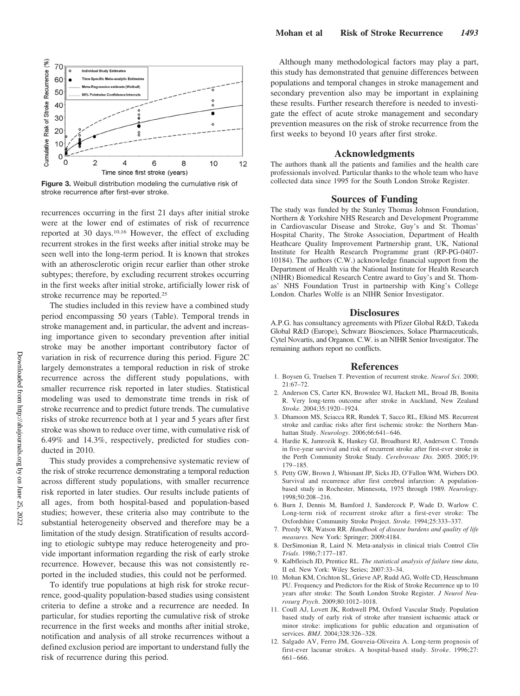

**Figure 3.** Weibull distribution modeling the cumulative risk of stroke recurrence after first-ever stroke.

recurrences occurring in the first 21 days after initial stroke were at the lower end of estimates of risk of recurrence reported at 30 days.10,16 However, the effect of excluding recurrent strokes in the first weeks after initial stroke may be seen well into the long-term period. It is known that strokes with an atherosclerotic origin recur earlier than other stroke subtypes; therefore, by excluding recurrent strokes occurring in the first weeks after initial stroke, artificially lower risk of stroke recurrence may be reported.25

The studies included in this review have a combined study period encompassing 50 years (Table). Temporal trends in stroke management and, in particular, the advent and increasing importance given to secondary prevention after initial stroke may be another important contributory factor of variation in risk of recurrence during this period. Figure 2C largely demonstrates a temporal reduction in risk of stroke recurrence across the different study populations, with smaller recurrence risk reported in later studies. Statistical modeling was used to demonstrate time trends in risk of stroke recurrence and to predict future trends. The cumulative risks of stroke recurrence both at 1 year and 5 years after first stroke was shown to reduce over time, with cumulative risk of 6.49% and 14.3%, respectively, predicted for studies conducted in 2010.

This study provides a comprehensive systematic review of the risk of stroke recurrence demonstrating a temporal reduction across different study populations, with smaller recurrence risk reported in later studies. Our results include patients of all ages, from both hospital-based and population-based studies; however, these criteria also may contribute to the substantial heterogeneity observed and therefore may be a limitation of the study design. Stratification of results according to etiologic subtype may reduce heterogeneity and provide important information regarding the risk of early stroke recurrence. However, because this was not consistently reported in the included studies, this could not be performed.

To identify true populations at high risk for stroke recurrence, good-quality population-based studies using consistent criteria to define a stroke and a recurrence are needed. In particular, for studies reporting the cumulative risk of stroke recurrence in the first weeks and months after initial stroke, notification and analysis of all stroke recurrences without a defined exclusion period are important to understand fully the risk of recurrence during this period.

Although many methodological factors may play a part, this study has demonstrated that genuine differences between populations and temporal changes in stroke management and secondary prevention also may be important in explaining these results. Further research therefore is needed to investigate the effect of acute stroke management and secondary prevention measures on the risk of stroke recurrence from the first weeks to beyond 10 years after first stroke.

#### **Acknowledgments**

The authors thank all the patients and families and the health care professionals involved. Particular thanks to the whole team who have collected data since 1995 for the South London Stroke Register.

#### **Sources of Funding**

The study was funded by the Stanley Thomas Johnson Foundation, Northern & Yorkshire NHS Research and Development Programme in Cardiovascular Disease and Stroke, Guy's and St. Thomas' Hospital Charity, The Stroke Association, Department of Health Heathcare Quality Improvement Partnership grant, UK, National Institute for Health Research Programme grant (RP-PG-0407- 10184). The authors (C.W.) acknowledge financial support from the Department of Health via the National Institute for Health Research (NIHR) Biomedical Research Centre award to Guy's and St. Thomas' NHS Foundation Trust in partnership with King's College London. Charles Wolfe is an NIHR Senior Investigator.

#### **Disclosures**

A.P.G. has consultancy agreements with Pfizer Global R&D, Takeda Global R&D (Europe), Schwarz Biosciences, Solace Pharmaceuticals, Cytel Novartis, and Organon. C.W. is an NIHR Senior Investigator. The remaining authors report no conflicts.

#### **References**

- 1. Boysen G, Truelsen T. Prevention of recurrent stroke. *Neurol Sci*. 2000; 21:67–72.
- 2. Anderson CS, Carter KN, Brownlee WJ, Hackett ML, Broad JB, Bonita R. Very long-term outcome after stroke in Auckland, New Zealand *Stroke*. 2004;35:1920 –1924.
- 3. Dhamoon MS, Sciacca RR, Rundek T, Sacco RL, Elkind MS. Recurrent stroke and cardiac risks after first ischemic stroke: the Northern Manhattan Study. *Neurology*. 2006;66:641– 646.
- 4. Hardie K, Jamrozik K, Hankey GJ, Broadhurst RJ, Anderson C. Trends in five-year survival and risk of recurrent stroke after first-ever stroke in the Perth Community Stroke Study. *Cerebrovasc Dis*. 2005. 2005;19: 179 –185.
- 5. Petty GW, Brown J, Whisnant JP, Sicks JD, O'Fallon WM, Wiebers DO. Survival and recurrence after first cerebral infarction: A populationbased study in Rochester, Minnesota, 1975 through 1989. *Neurology*. 1998;50:208 –216.
- 6. Burn J, Dennis M, Bamford J, Sandercock P, Wade D, Warlow C. Long-term risk of recurrent stroke after a first-ever stroke: The Oxfordshire Community Stroke Project. *Stroke*. 1994;25:333–337.
- 7. Preedy VR, Watson RR. *Handbook of disease burdens and quality of life measures.* New York: Springer; 2009:4184.
- 8. DerSimonian R, Laird N. Meta-analysis in clinical trials Control *Clin Trials*. 1986;7:177–187.
- 9. Kalbfleisch JD, Prentice RL. *The statistical analysis of failure time data*, II ed. New York: Wiley Series; 2007:33–34.
- 10. Mohan KM, Crichton SL, Grieve AP, Rudd AG, Wolfe CD, Heuschmann PU. Frequency and Predictors for the Risk of Stroke Recurrence up to 10 years after stroke: The South London Stroke Register. *J Neurol Neurosurg Psych*. 2009;80:1012–1018.
- 11. Coull AJ, Lovett JK, Rothwell PM, Oxford Vascular Study. Population based study of early risk of stroke after transient ischaemic attack or minor stroke: implications for public education and organisation of services. *BMJ*. 2004;328:326 –328.
- 12. Salgado AV, Ferro JM, Gouveia-Oliveira A. Long-term prognosis of first-ever lacunar strokes. A hospital-based study. *Stroke*. 1996;27: 661– 666.